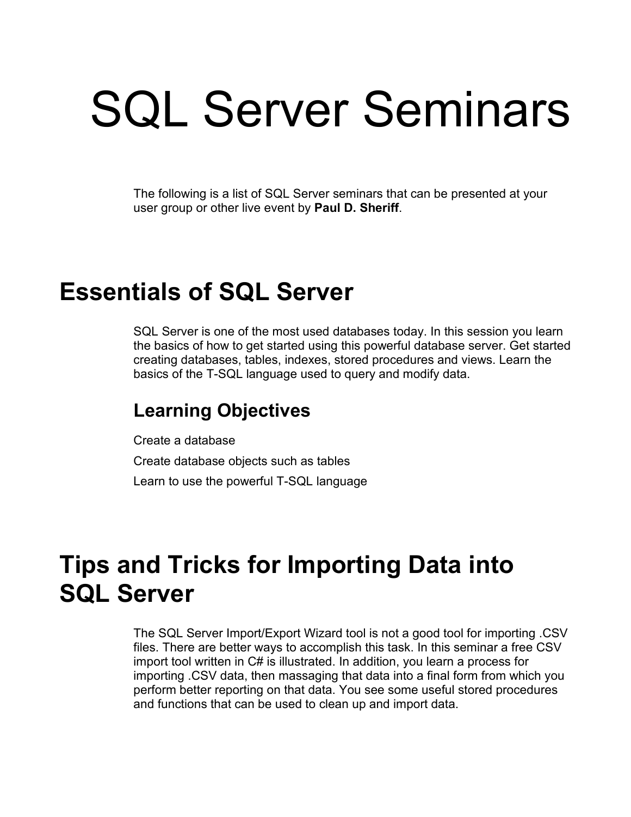# SQL Server Seminars

The following is a list of SQL Server seminars that can be presented at your user group or other live event by **Paul D. Sheriff**.

## **Essentials of SQL Server**

SQL Server is one of the most used databases today. In this session you learn the basics of how to get started using this powerful database server. Get started creating databases, tables, indexes, stored procedures and views. Learn the basics of the T-SQL language used to query and modify data.

#### **Learning Objectives**

Create a database Create database objects such as tables Learn to use the powerful T-SQL language

## **Tips and Tricks for Importing Data into SQL Server**

The SQL Server Import/Export Wizard tool is not a good tool for importing .CSV files. There are better ways to accomplish this task. In this seminar a free CSV import tool written in C# is illustrated. In addition, you learn a process for importing .CSV data, then massaging that data into a final form from which you perform better reporting on that data. You see some useful stored procedures and functions that can be used to clean up and import data.